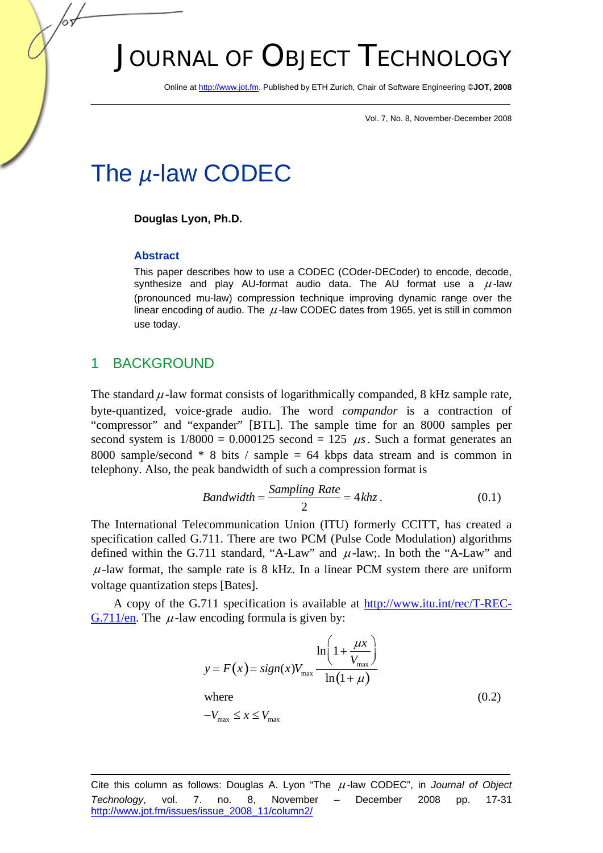# JOURNAL OF OBJECT TECHNOLOGY

Online at http://www.jot.fm. Published by ETH Zurich, Chair of Software Engineering ©**JOT, 2008** 

Vol. 7, No. 8, November-December 2008

# The *µ*-law CODEC

#### **Douglas Lyon, Ph.D.**

#### **Abstract**

This paper describes how to use a CODEC (COder-DECoder) to encode, decode, synthesize and play AU-format audio data. The AU format use a  $\mu$ -law (pronounced mu-law) compression technique improving dynamic range over the linear encoding of audio. The  $\mu$ -law CODEC dates from 1965, yet is still in common use today.

#### 1 BACKGROUND

The standard  $\mu$ -law format consists of logarithmically companded, 8 kHz sample rate, byte-quantized, voice-grade audio. The word *compandor* is a contraction of "compressor" and "expander" [BTL]. The sample time for an 8000 samples per second system is  $1/8000 = 0.000125$  second = 125  $\mu$ s. Such a format generates an 8000 sample/second  $* 8$  bits / sample = 64 kbps data stream and is common in telephony. Also, the peak bandwidth of such a compression format is

$$
Bandwidth = \frac{Sampling Rate}{2} = 4 khz. \tag{0.1}
$$

The International Telecommunication Union (ITU) formerly CCITT, has created a specification called G.711. There are two PCM (Pulse Code Modulation) algorithms defined within the G.711 standard, "A-Law" and  $\mu$ -law;. In both the "A-Law" and  $\mu$ -law format, the sample rate is 8 kHz. In a linear PCM system there are uniform voltage quantization steps [Bates].

A copy of the G.711 specification is available at http://www.itu.int/rec/T-REC-G.711/en. The  $\mu$ -law encoding formula is given by:

$$
y = F(x) = sign(x)V_{\text{max}} \frac{\ln\left(1 + \frac{\mu x}{V_{\text{max}}}\right)}{\ln(1 + \mu)}
$$
  
where  

$$
-V_{\text{max}} \le x \le V_{\text{max}}
$$
 (0.2)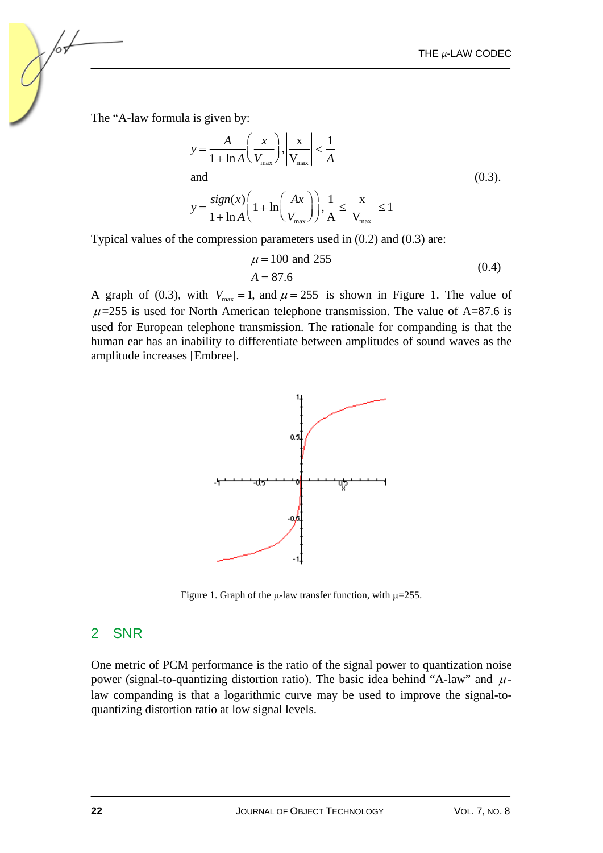The "A-law formula is given by:

$$
y = \frac{A}{1 + \ln A} \left( \frac{x}{V_{\text{max}}} \right), \left| \frac{x}{V_{\text{max}}} \right| < \frac{1}{A}
$$
  
and  

$$
y = \frac{\text{sign}(x)}{1 + \ln A} \left( 1 + \ln \left( \frac{Ax}{V_{\text{max}}} \right) \right), \frac{1}{A} \le \left| \frac{x}{V_{\text{max}}} \right| \le 1
$$
 (0.3).

Typical values of the compression parameters used in (0.2) and (0.3) are:

$$
\mu = 100 \text{ and } 255
$$
  
A = 87.6 (0.4)

A graph of (0.3), with  $V_{\text{max}} = 1$ , and  $\mu = 255$  is shown in Figure 1. The value of  $\mu$ =255 is used for North American telephone transmission. The value of A=87.6 is used for European telephone transmission. The rationale for companding is that the human ear has an inability to differentiate between amplitudes of sound waves as the amplitude increases [Embree].



Figure 1. Graph of the  $\mu$ -law transfer function, with  $\mu$ =255.

#### 2 SNR

One metric of PCM performance is the ratio of the signal power to quantization noise power (signal-to-quantizing distortion ratio). The basic idea behind "A-law" and  $\mu$ law companding is that a logarithmic curve may be used to improve the signal-toquantizing distortion ratio at low signal levels.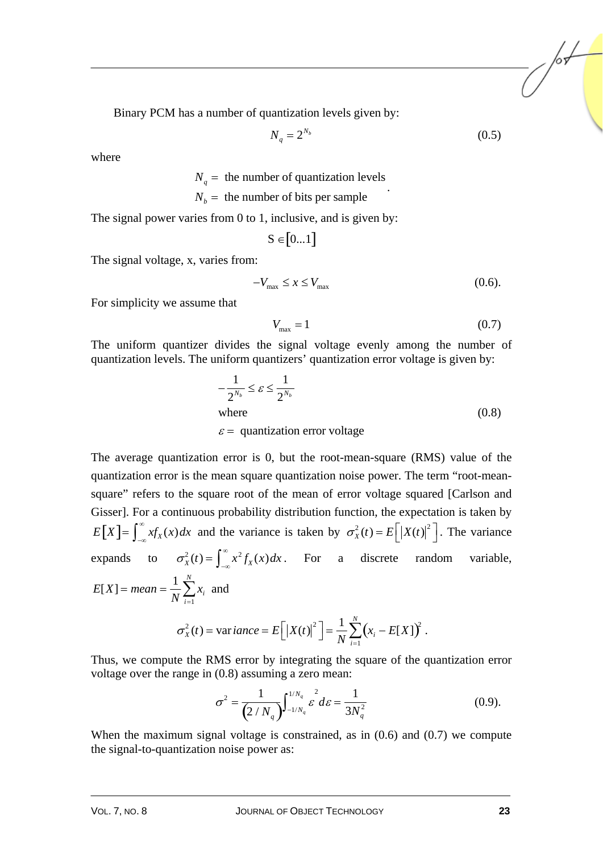Binary PCM has a number of quantization levels given by:

$$
N_q = 2^{N_b} \tag{0.5}
$$

where

 $N_q$  = the number of quantization levels

$$
N_b =
$$
 the number of bits per sample

The signal power varies from 0 to 1, inclusive, and is given by:

$$
S \in [0...1]
$$

The signal voltage, x, varies from:

$$
-V_{\text{max}} \le x \le V_{\text{max}} \tag{0.6}
$$

For simplicity we assume that

$$
V_{\text{max}} = 1\tag{0.7}
$$

The uniform quantizer divides the signal voltage evenly among the number of quantization levels. The uniform quantizers' quantization error voltage is given by:

$$
-\frac{1}{2^{N_b}} \le \varepsilon \le \frac{1}{2^{N_b}}
$$
  
where  
 $\varepsilon$  = quantization error voltage (0.8)

The average quantization error is 0, but the root-mean-square (RMS) value of the quantization error is the mean square quantization noise power. The term "root-meansquare" refers to the square root of the mean of error voltage squared [Carlson and Gisser]. For a continuous probability distribution function, the expectation is taken by  $E[X] = \int_{-\infty}^{\infty} x f_X(x) dx$  and the variance is taken by  $\sigma_X^2(t) = E\left[ |X(t)|^2 \right]$ . The variance expands to  $\sigma_X^2(t) = \int_{-\infty}^{\infty} x^2 f_X(x) dx$ . For a discrete random variable,  $E[X] = mean = \frac{1}{10}$ *N*

$$
X
$$
] = mean =  $\frac{1}{N} \sum_{i=1}^{N} x_i$  and  

$$
\sigma_X^2(t) = \text{variance} = E\Big[ |X(t)|^2 \Big] = \frac{1}{N} \sum_{i=1}^{N} (x_i - E[X])^2.
$$

Thus, we compute the RMS error by integrating the square of the quantization error voltage over the range in (0.8) assuming a zero mean:

$$
\sigma^2 = \frac{1}{(2/N_q)} \int_{-1/N_q}^{1/N_q} \mathcal{E}^2 d\varepsilon = \frac{1}{3N_q^2}
$$
 (0.9).

When the maximum signal voltage is constrained, as in  $(0.6)$  and  $(0.7)$  we compute the signal-to-quantization noise power as: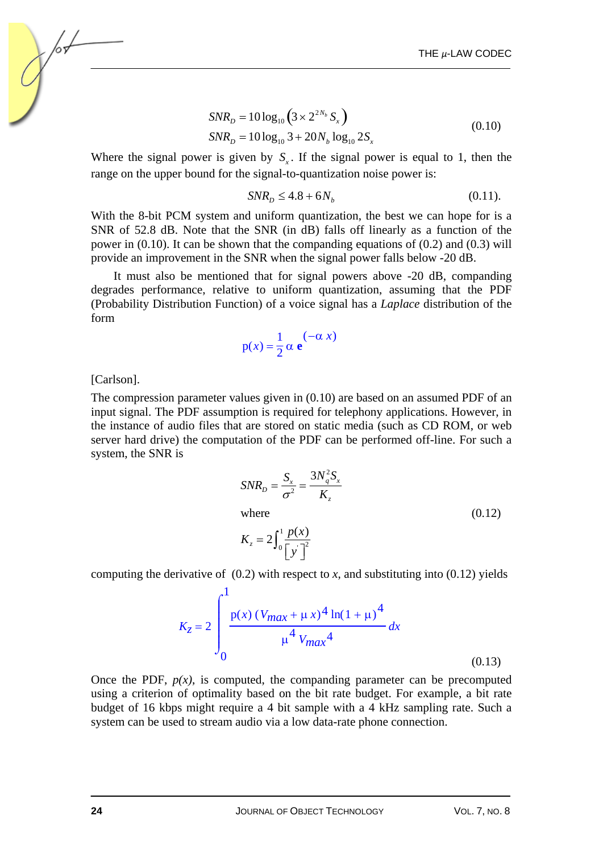$$
SNR_D = 10 \log_{10} \left( 3 \times 2^{2N_b} S_x \right)
$$
  
\n
$$
SNR_D = 10 \log_{10} 3 + 20 N_b \log_{10} 2S_x
$$
 (0.10)

Where the signal power is given by  $S<sub>r</sub>$ . If the signal power is equal to 1, then the range on the upper bound for the signal-to-quantization noise power is:

$$
SNR_D \le 4.8 + 6N_b \tag{0.11}
$$

With the 8-bit PCM system and uniform quantization, the best we can hope for is a SNR of 52.8 dB. Note that the SNR (in dB) falls off linearly as a function of the power in (0.10). It can be shown that the companding equations of (0.2) and (0.3) will provide an improvement in the SNR when the signal power falls below -20 dB.

It must also be mentioned that for signal powers above -20 dB, companding degrades performance, relative to uniform quantization, assuming that the PDF (Probability Distribution Function) of a voice signal has a *Laplace* distribution of the form

$$
p(x) = \frac{1}{2} \alpha e^{(-\alpha x)}
$$

[Carlson].

The compression parameter values given in (0.10) are based on an assumed PDF of an input signal. The PDF assumption is required for telephony applications. However, in the instance of audio files that are stored on static media (such as CD ROM, or web server hard drive) the computation of the PDF can be performed off-line. For such a system, the SNR is

$$
SNR_D = \frac{S_x}{\sigma^2} = \frac{3N_q^2 S_x}{K_z}
$$
  
where  

$$
K_z = 2 \int_0^1 \frac{p(x)}{[y]^2}
$$
 (0.12)

computing the derivative of  $(0.2)$  with respect to *x*, and substituting into  $(0.12)$  yields

$$
K_{z} = 2 \int_{0}^{1} \frac{p(x) (V_{max} + \mu x)^{4} \ln(1 + \mu)^{4}}{\mu^{4} V_{max}^{4}} dx
$$
\n(0.13)

Once the PDF,  $p(x)$ , is computed, the companding parameter can be precomputed using a criterion of optimality based on the bit rate budget. For example, a bit rate budget of 16 kbps might require a 4 bit sample with a 4 kHz sampling rate. Such a system can be used to stream audio via a low data-rate phone connection.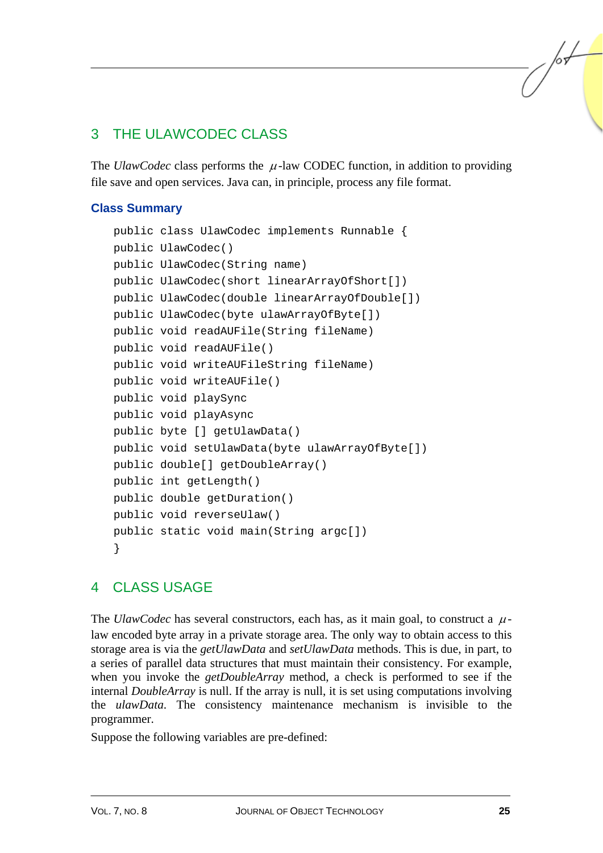# 3 THE ULAWCODEC CLASS

The *UlawCodec* class performs the  $\mu$ -law CODEC function, in addition to providing file save and open services. Java can, in principle, process any file format.

#### **Class Summary**

```
public class UlawCodec implements Runnable { 
public UlawCodec() 
public UlawCodec(String name) 
public UlawCodec(short linearArrayOfShort[]) 
public UlawCodec(double linearArrayOfDouble[]) 
public UlawCodec(byte ulawArrayOfByte[]) 
public void readAUFile(String fileName) 
public void readAUFile() 
public void writeAUFileString fileName) 
public void writeAUFile() 
public void playSync 
public void playAsync 
public byte [] getUlawData() 
public void setUlawData(byte ulawArrayOfByte[]) 
public double[] getDoubleArray() 
public int getLength() 
public double getDuration() 
public void reverseUlaw() 
public static void main(String argc[]) 
}
```
### 4 CLASS USAGE

The *UlawCodec* has several constructors, each has, as it main goal, to construct a  $\mu$ law encoded byte array in a private storage area. The only way to obtain access to this storage area is via the *getUlawData* and *setUlawData* methods. This is due, in part, to a series of parallel data structures that must maintain their consistency. For example, when you invoke the *getDoubleArray* method, a check is performed to see if the internal *DoubleArray* is null. If the array is null, it is set using computations involving the *ulawData*. The consistency maintenance mechanism is invisible to the programmer.

Suppose the following variables are pre-defined:

 $\sqrt{\frac{1}{2}}$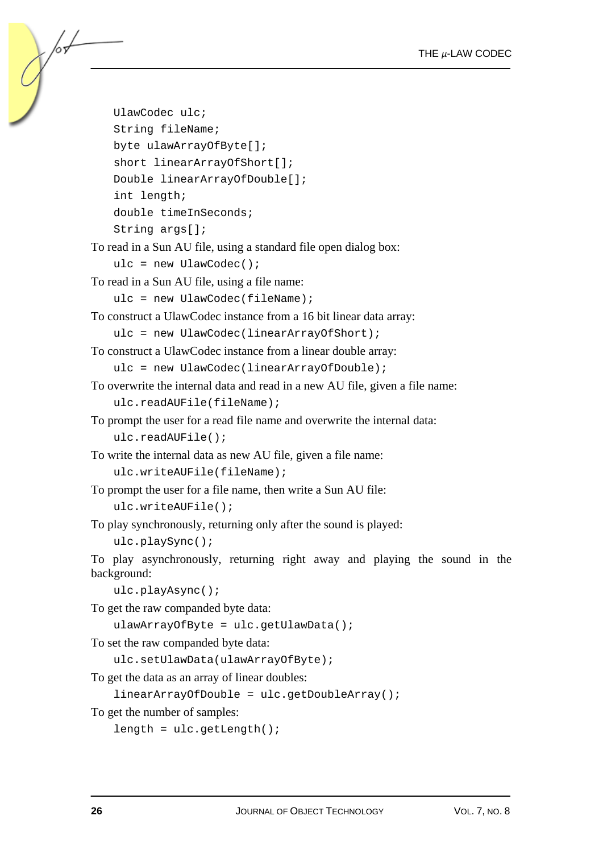```
UlawCodec ulc; 
    String fileName; 
    byte ulawArrayOfByte[]; 
    short linearArrayOfShort[]; 
    Double linearArrayOfDouble[]; 
    int length; 
    double timeInSeconds; 
    String args[];
To read in a Sun AU file, using a standard file open dialog box: 
    ulc = new UlawCodec();
To read in a Sun AU file, using a file name: 
    ulc = new UlawCode(fileName);To construct a UlawCodec instance from a 16 bit linear data array: 
    ulc = new UlawCodec(linearArrayOfShort); 
To construct a UlawCodec instance from a linear double array: 
    ulc = new UlawCodec(linearArrayOfDouble); 
To overwrite the internal data and read in a new AU file, given a file name: 
    ulc.readAUFile(fileName); 
To prompt the user for a read file name and overwrite the internal data: 
    ulc.readAUFile(); 
To write the internal data as new AU file, given a file name: 
    ulc.writeAUFile(fileName); 
To prompt the user for a file name, then write a Sun AU file: 
    ulc.writeAUFile(); 
To play synchronously, returning only after the sound is played: 
    ulc.playSync(); 
To play asynchronously, returning right away and playing the sound in the 
background: 
    ulc.playAsync(); 
To get the raw companded byte data: 
    ulawArrayOfByte = ulc.getUlawData(); 
To set the raw companded byte data: 
    ulc.setUlawData(ulawArrayOfByte); 
To get the data as an array of linear doubles: 
    linearArrayOfDouble = ulc.getDoubleArray(); 
To get the number of samples: 
    length = ulc.getLength();
```
/or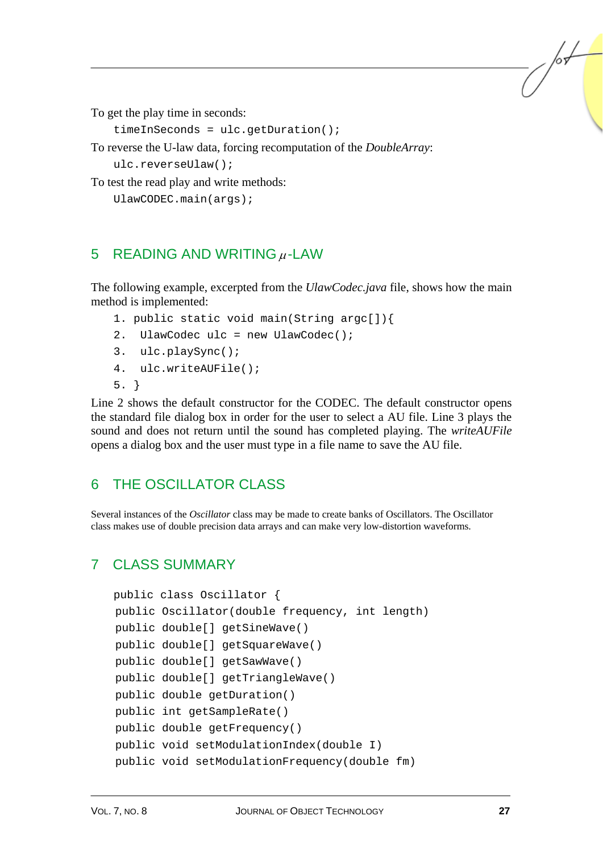To get the play time in seconds:

```
timeInSeconds = ulc.getDuration();
```
To reverse the U-law data, forcing recomputation of the *DoubleArray*:

ulc.reverseUlaw();

To test the read play and write methods:

```
UlawCODEC.main(args);
```
## 5 READING AND WRITING  $\mu$ -LAW

The following example, excerpted from the *UlawCodec.java* file, shows how the main method is implemented:

- 1. public static void main(String argc[]){
- 2. UlawCodec ulc = new UlawCodec();
- 3. ulc.playSync();
- 4. ulc.writeAUFile();
- 5. }

Line 2 shows the default constructor for the CODEC. The default constructor opens the standard file dialog box in order for the user to select a AU file. Line 3 plays the sound and does not return until the sound has completed playing. The *writeAUFile* opens a dialog box and the user must type in a file name to save the AU file.

## 6 THE OSCILLATOR CLASS

Several instances of the *Oscillator* class may be made to create banks of Oscillators. The Oscillator class makes use of double precision data arrays and can make very low-distortion waveforms.

## 7 CLASS SUMMARY

```
public class Oscillator { 
public Oscillator(double frequency, int length) 
public double[] getSineWave() 
public double[] getSquareWave() 
public double[] getSawWave() 
public double[] getTriangleWave() 
public double getDuration() 
public int getSampleRate() 
public double getFrequency() 
public void setModulationIndex(double I) 
public void setModulationFrequency(double fm)
```
/or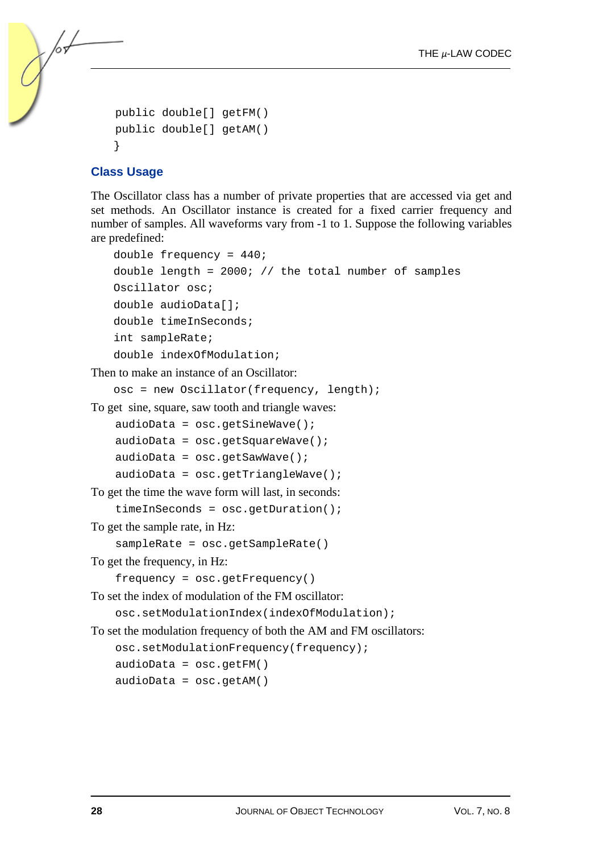```
public double[] getFM() 
public double[] getAM() 
}
```
#### **Class Usage**

/or

The Oscillator class has a number of private properties that are accessed via get and set methods. An Oscillator instance is created for a fixed carrier frequency and number of samples. All waveforms vary from -1 to 1. Suppose the following variables are predefined:

```
double frequency = 440; 
   double length = 2000; // the total number of samples
   Oscillator osc; 
   double audioData[]; 
   double timeInSeconds; 
   int sampleRate; 
   double indexOfModulation; 
Then to make an instance of an Oscillator: 
   osc = new Oscillator(frequency, length); 
To get sine, square, saw tooth and triangle waves: 
    audioData = osc.getSinceWave();
    audioData = osc.getSquareWave();
    audioData = osc.getSawWave(); 
    audioData = osc.getTriangleTo get the time the wave form will last, in seconds: 
    timeInSeconds = osc.getDuration();
```
To get the sample rate, in Hz:

sampleRate = osc.getSampleRate()

To get the frequency, in Hz:

```
frequency = osc.getFrequency()
```
To set the index of modulation of the FM oscillator:

osc.setModulationIndex(indexOfModulation);

To set the modulation frequency of both the AM and FM oscillators:

```
osc.setModulationFrequency(frequency);
```
 $audioData = osc.getFM()$ 

 $audioData = osc.getAM()$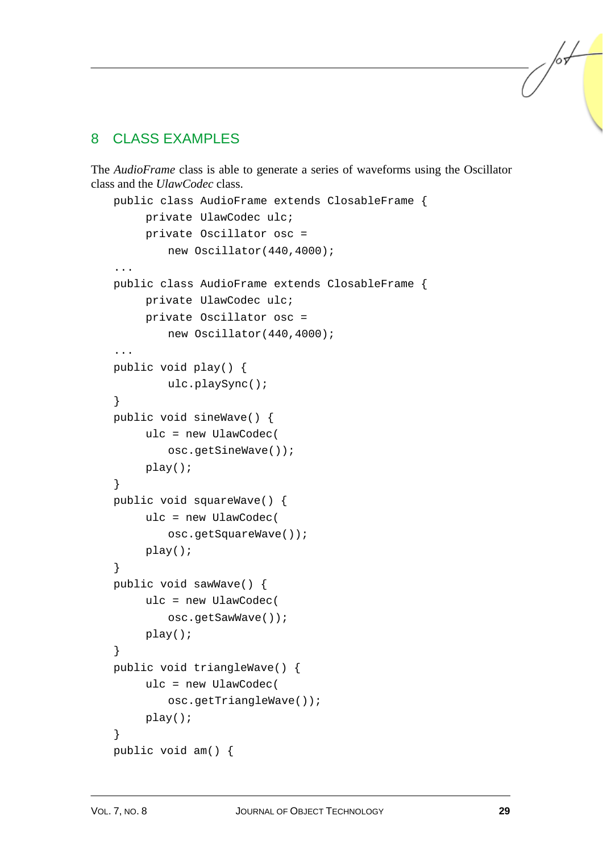## 8 CLASS EXAMPLES

The *AudioFrame* class is able to generate a series of waveforms using the Oscillator class and the *UlawCodec* class.

```
public class AudioFrame extends ClosableFrame { 
      private UlawCodec ulc; 
      private Oscillator osc = 
          new Oscillator(440,4000); 
... 
public class AudioFrame extends ClosableFrame { 
      private UlawCodec ulc; 
      private Oscillator osc = 
          new Oscillator(440,4000); 
... 
public void play() { 
          ulc.playSync(); 
} 
public void sineWave() { 
      ulc = new UlawCodec( 
          osc.getSineWave()); 
      play(); 
} 
public void squareWave() { 
      ulc = new UlawCodec( 
          osc.getSquareWave()); 
      play(); 
} 
public void sawWave() { 
      ulc = new UlawCodec( 
          osc.getSawWave()); 
      play(); 
} 
public void triangleWave() { 
      ulc = new UlawCodec( 
          osc.getTriangleWave()); 
      play(); 
} 
public void am() {
```
/sL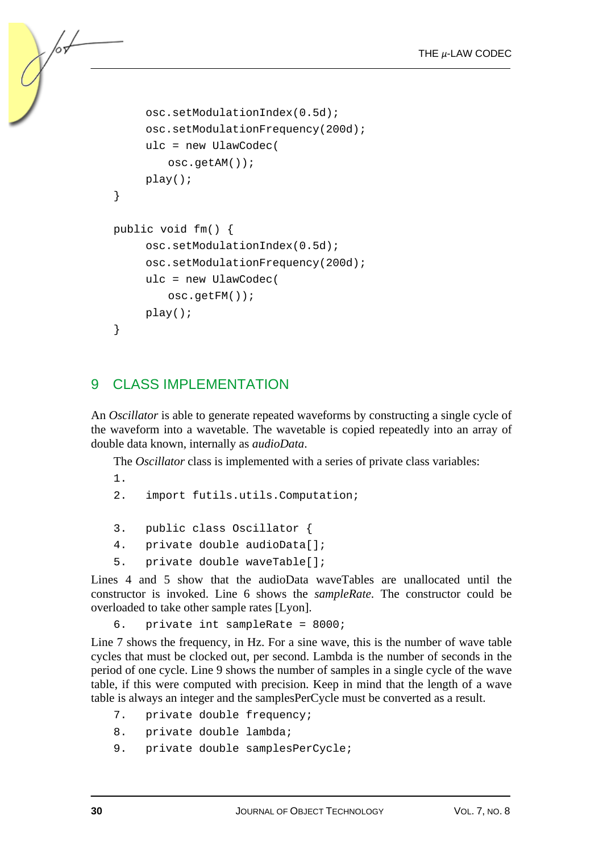```
 osc.setModulationIndex(0.5d); 
      osc.setModulationFrequency(200d); 
      ulc = new UlawCodec( 
          osc.getAM()); 
      play(); 
} 
public void fm() { 
      osc.setModulationIndex(0.5d); 
      osc.setModulationFrequency(200d); 
      ulc = new UlawCodec( 
          osc.getFM()); 
      play(); 
}
```
## 9 CLASS IMPLEMENTATION

An *Oscillator* is able to generate repeated waveforms by constructing a single cycle of the waveform into a wavetable. The wavetable is copied repeatedly into an array of double data known, internally as *audioData*.

The *Oscillator* class is implemented with a series of private class variables:

1.

 $\frac{1}{2}$ 

- 2. import futils.utils.Computation;
- 3. public class Oscillator {
- 4. private double audioData[];
- 5. private double waveTable[];

Lines 4 and 5 show that the audioData waveTables are unallocated until the constructor is invoked. Line 6 shows the *sampleRate*. The constructor could be overloaded to take other sample rates [Lyon].

6. private int sampleRate = 8000;

Line 7 shows the frequency, in Hz. For a sine wave, this is the number of wave table cycles that must be clocked out, per second. Lambda is the number of seconds in the period of one cycle. Line 9 shows the number of samples in a single cycle of the wave table, if this were computed with precision. Keep in mind that the length of a wave table is always an integer and the samplesPerCycle must be converted as a result.

- 7. private double frequency;
- 8. private double lambda;
- 9. private double samplesPerCycle;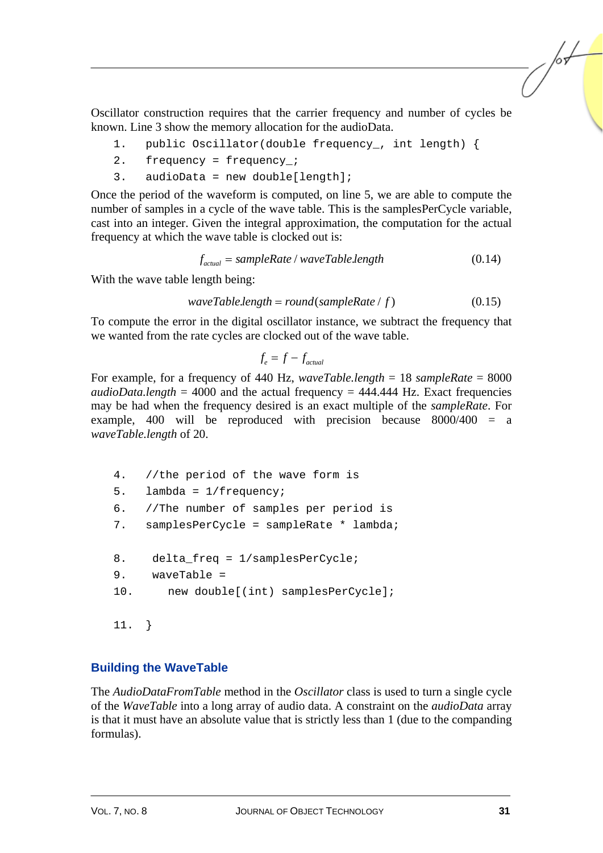Oscillator construction requires that the carrier frequency and number of cycles be known. Line 3 show the memory allocation for the audioData.

- 1. public Oscillator(double frequency\_, int length) {
- 2. frequency = frequency\_;
- 3. audioData = new double[length];

Once the period of the waveform is computed, on line 5, we are able to compute the number of samples in a cycle of the wave table. This is the samplesPerCycle variable, cast into an integer. Given the integral approximation, the computation for the actual frequency at which the wave table is clocked out is:

 $f_{actual} = sampleRate / waveTable.length$  (0.14)

With the wave table length being:

$$
waveTable.length = round(sampleRate / f)
$$
 (0.15)

To compute the error in the digital oscillator instance, we subtract the frequency that we wanted from the rate cycles are clocked out of the wave table.

$$
f_e = f - f_{actual}
$$

For example, for a frequency of 440 Hz, *waveTable.length* = 18 *sampleRate* = 8000  $audioData.length = 4000$  and the actual frequency =  $444.444$  Hz. Exact frequencies may be had when the frequency desired is an exact multiple of the *sampleRate*. For example, 400 will be reproduced with precision because 8000/400 = a *waveTable.length* of 20.

```
4. //the period of the wave form is 
5. lambda = 1/frequency; 
6. //The number of samples per period is 
7. samplesPerCycle = sampleRate * lambda; 
8. delta_freq = 1/samplesPerCycle; 
9. waveTable = 
10. new double[(int) samplesPerCycle]; 
11. }
```
#### **Building the WaveTable**

The *AudioDataFromTable* method in the *Oscillator* class is used to turn a single cycle of the *WaveTable* into a long array of audio data. A constraint on the *audioData* array is that it must have an absolute value that is strictly less than 1 (due to the companding formulas).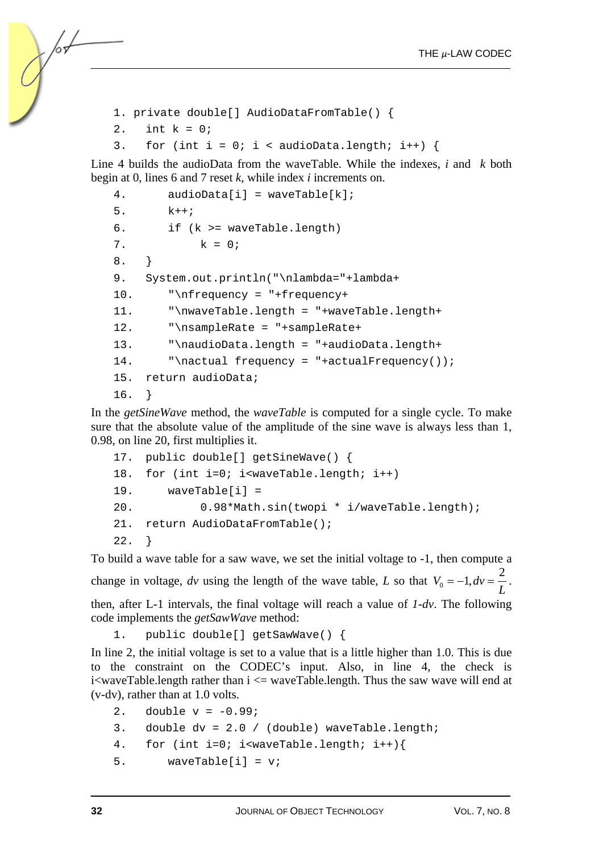```
1. private double[] AudioDataFromTable() { 
2. int k = 0;
3. for (int i = 0; i < audioData.length; i++) {
```
Line 4 builds the audioData from the waveTable. While the indexes, *i* and *k* both begin at 0, lines 6 and 7 reset *k*, while index *i* increments on.

```
4. audioData[i] = waveTable[k];
5. k++;6. if (k >= waveTable.length) 
7. k = 0;8. } 
9. System.out.println("\nlambda="+lambda+ 
10. "\nfrequency = "+frequency+ 
11. "\nwaveTable.length = "+waveTable.length+ 
12. "\nsampleRate = "+sampleRate+ 
13. "\naudioData.length = "+audioData.length+ 
14. "\nactual frequency = "+actualFrequency());
15. return audioData; 
16. }
```
In the *getSineWave* method, the *waveTable* is computed for a single cycle. To make sure that the absolute value of the amplitude of the sine wave is always less than 1, 0.98, on line 20, first multiplies it.

```
17. public double[] getSineWave() { 
18. for (int i=0; i<waveTable.length; i++) 
19. waveTable[i] = 
20. 0.98*Math.sin(twopi * i/waveTable.length); 
21. return AudioDataFromTable(); 
22. }
```
To build a wave table for a saw wave, we set the initial voltage to -1, then compute a change in voltage, *dv* using the length of the wave table, *L* so that  $V_0 = -1$ ,  $dv = \frac{2}{L}$ . then, after L-1 intervals, the final voltage will reach a value of *1-dv*. The following code implements the *getSawWave* method:

```
1. public double[] getSawWave() {
```
In line 2, the initial voltage is set to a value that is a little higher than 1.0. This is due to the constraint on the CODEC's input. Also, in line 4, the check is i<waveTable.length rather than i <= waveTable.length. Thus the saw wave will end at (v-dv), rather than at 1.0 volts.

- 2. double  $v = -0.99$ ;
- 3. double dv = 2.0 / (double) waveTable.length;
- 4. for (int i=0; i<waveTable.length; i++){
- 5. waveTable $[i] = vi$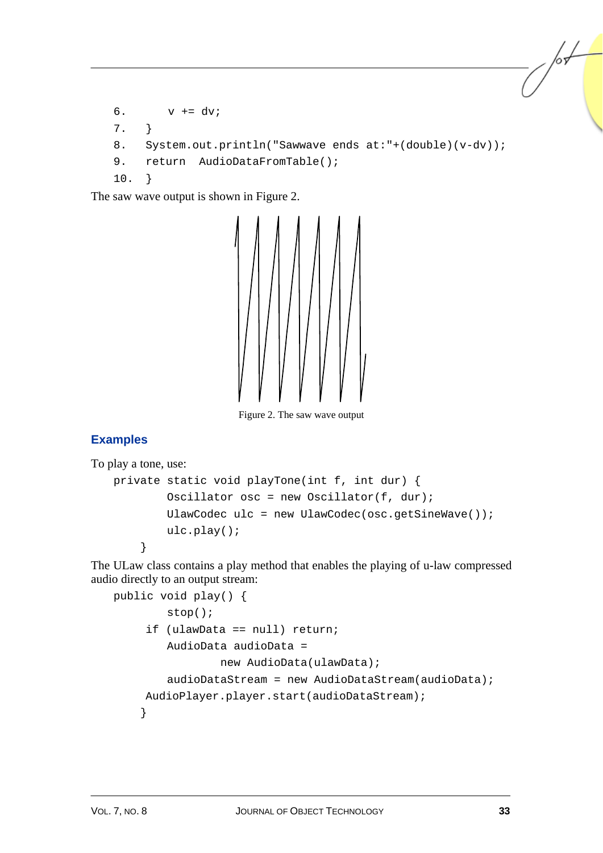```
6. v += dv;
7. } 
8. System.out.println("Sawwave ends at:"+(double)(v-dv));
9. return AudioDataFromTable();
10. }
```
The saw wave output is shown in Figure 2.



Figure 2. The saw wave output

### **Examples**

To play a tone, use:

```
private static void playTone(int f, int dur) { 
         Oscillator osc = new Oscillator(f, dur); 
         UlawCodec ulc = new UlawCodec(osc.getSineWave()); 
         ulc.play(); 
     }
```
The ULaw class contains a play method that enables the playing of u-law compressed audio directly to an output stream:

```
public void play() { 
         stop(); 
      if (ulawData == null) return; 
         AudioData audioData = 
                 new AudioData(ulawData);
        audioDataStream = new AudioDataStream(audioData); AudioPlayer.player.start(audioDataStream); 
     }
```
/sL